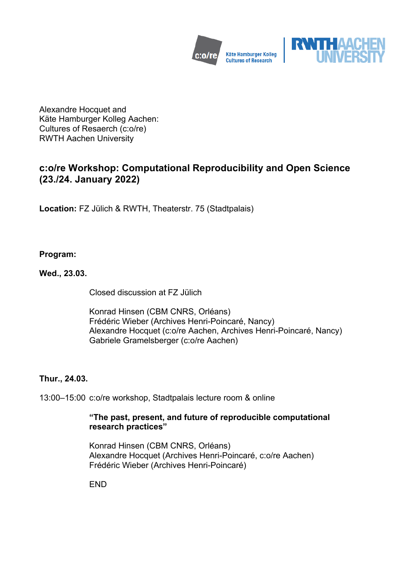



Alexandre Hocquet and Käte Hamburger Kolleg Aachen: Cultures of Resaerch (c:o/re) RWTH Aachen University

# **c:o/re Workshop: Computational Reproducibility and Open Science (23./24. January 2022)**

**Location:** FZ Jülich & RWTH, Theaterstr. 75 (Stadtpalais)

## **Program:**

**Wed., 23.03.**

Closed discussion at FZ Jülich

Konrad Hinsen (CBM CNRS, Orléans) Frédéric Wieber (Archives Henri-Poincaré, Nancy) Alexandre Hocquet (c:o/re Aachen, Archives Henri-Poincaré, Nancy) Gabriele Gramelsberger (c:o/re Aachen)

### **Thur., 24.03.**

13:00–15:00 c:o/re workshop, Stadtpalais lecture room & online

### **"The past, present, and future of reproducible computational research practices"**

Konrad Hinsen (CBM CNRS, Orléans) Alexandre Hocquet (Archives Henri-Poincaré, c:o/re Aachen) Frédéric Wieber (Archives Henri-Poincaré)

**FND**